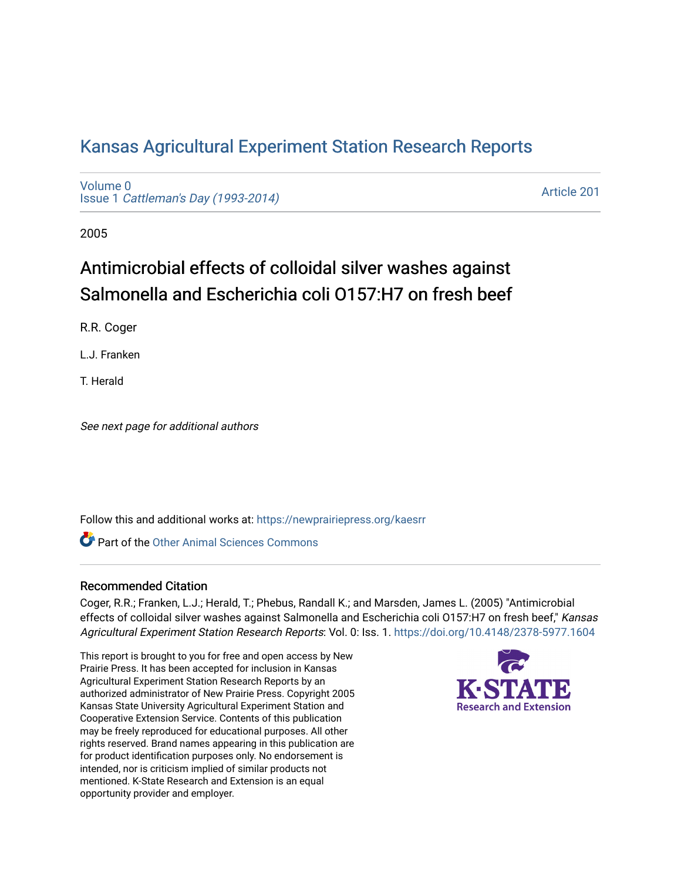# [Kansas Agricultural Experiment Station Research Reports](https://newprairiepress.org/kaesrr)

[Volume 0](https://newprairiepress.org/kaesrr/vol0) Issue 1 [Cattleman's Day \(1993-2014\)](https://newprairiepress.org/kaesrr/vol0/iss1) 

[Article 201](https://newprairiepress.org/kaesrr/vol0/iss1/201) 

2005

# Antimicrobial effects of colloidal silver washes against Salmonella and Escherichia coli O157:H7 on fresh beef

R.R. Coger

L.J. Franken

T. Herald

See next page for additional authors

Follow this and additional works at: [https://newprairiepress.org/kaesrr](https://newprairiepress.org/kaesrr?utm_source=newprairiepress.org%2Fkaesrr%2Fvol0%2Fiss1%2F201&utm_medium=PDF&utm_campaign=PDFCoverPages) 

**C** Part of the [Other Animal Sciences Commons](http://network.bepress.com/hgg/discipline/82?utm_source=newprairiepress.org%2Fkaesrr%2Fvol0%2Fiss1%2F201&utm_medium=PDF&utm_campaign=PDFCoverPages)

## Recommended Citation

Coger, R.R.; Franken, L.J.; Herald, T.; Phebus, Randall K.; and Marsden, James L. (2005) "Antimicrobial effects of colloidal silver washes against Salmonella and Escherichia coli 0157:H7 on fresh beef," Kansas Agricultural Experiment Station Research Reports: Vol. 0: Iss. 1.<https://doi.org/10.4148/2378-5977.1604>

This report is brought to you for free and open access by New Prairie Press. It has been accepted for inclusion in Kansas Agricultural Experiment Station Research Reports by an authorized administrator of New Prairie Press. Copyright 2005 Kansas State University Agricultural Experiment Station and Cooperative Extension Service. Contents of this publication may be freely reproduced for educational purposes. All other rights reserved. Brand names appearing in this publication are for product identification purposes only. No endorsement is intended, nor is criticism implied of similar products not mentioned. K-State Research and Extension is an equal opportunity provider and employer.

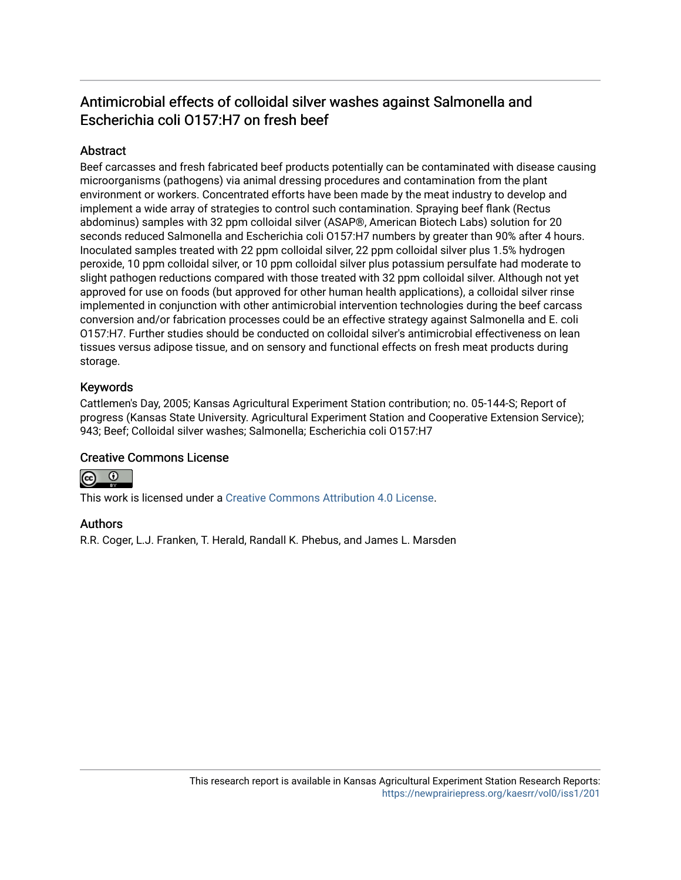# Antimicrobial effects of colloidal silver washes against Salmonella and Escherichia coli O157:H7 on fresh beef

# **Abstract**

Beef carcasses and fresh fabricated beef products potentially can be contaminated with disease causing microorganisms (pathogens) via animal dressing procedures and contamination from the plant environment or workers. Concentrated efforts have been made by the meat industry to develop and implement a wide array of strategies to control such contamination. Spraying beef flank (Rectus abdominus) samples with 32 ppm colloidal silver (ASAP®, American Biotech Labs) solution for 20 seconds reduced Salmonella and Escherichia coli O157:H7 numbers by greater than 90% after 4 hours. Inoculated samples treated with 22 ppm colloidal silver, 22 ppm colloidal silver plus 1.5% hydrogen peroxide, 10 ppm colloidal silver, or 10 ppm colloidal silver plus potassium persulfate had moderate to slight pathogen reductions compared with those treated with 32 ppm colloidal silver. Although not yet approved for use on foods (but approved for other human health applications), a colloidal silver rinse implemented in conjunction with other antimicrobial intervention technologies during the beef carcass conversion and/or fabrication processes could be an effective strategy against Salmonella and E. coli O157:H7. Further studies should be conducted on colloidal silver's antimicrobial effectiveness on lean tissues versus adipose tissue, and on sensory and functional effects on fresh meat products during storage.

## Keywords

Cattlemen's Day, 2005; Kansas Agricultural Experiment Station contribution; no. 05-144-S; Report of progress (Kansas State University. Agricultural Experiment Station and Cooperative Extension Service); 943; Beef; Colloidal silver washes; Salmonella; Escherichia coli O157:H7

## Creative Commons License



This work is licensed under a [Creative Commons Attribution 4.0 License](https://creativecommons.org/licenses/by/4.0/).

## Authors

R.R. Coger, L.J. Franken, T. Herald, Randall K. Phebus, and James L. Marsden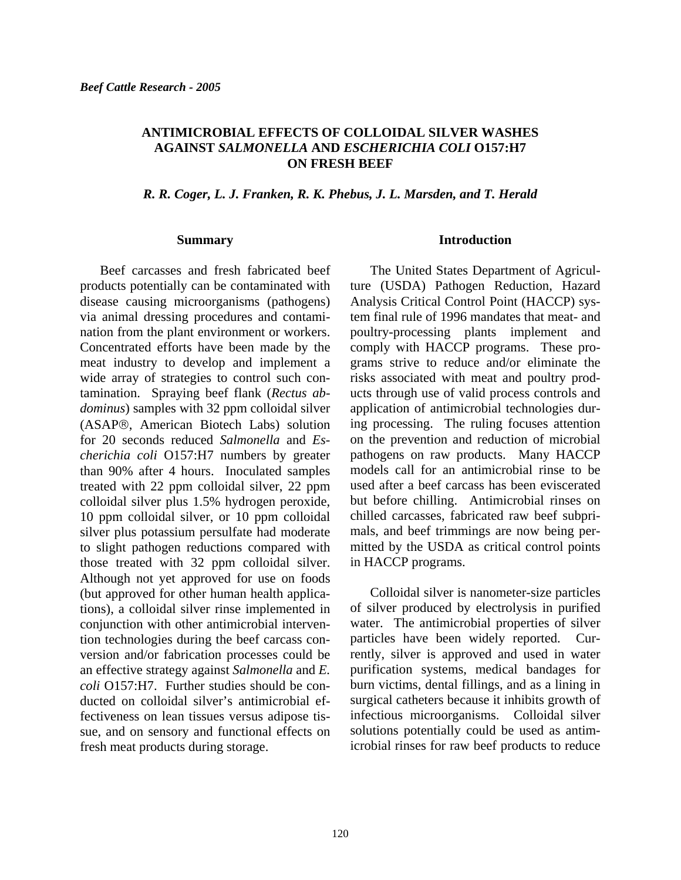#### **ANTIMICROBIAL EFFECTS OF COLLOIDAL SILVER WASHES AGAINST** *SALMONELLA* **AND** *ESCHERICHIA COLI* **O157:H7 ON FRESH BEEF**

#### *R. R. Coger, L. J. Franken, R. K. Phebus, J. L. Marsden, and T. Herald*

#### **Summary**

Beef carcasses and fresh fabricated beef products potentially can be contaminated with disease causing microorganisms (pathogens) via animal dressing procedures and contamination from the plant environment or workers. Concentrated efforts have been made by the meat industry to develop and implement a wide array of strategies to control such contamination. Spraying beef flank (*Rectus abdominus*) samples with 32 ppm colloidal silver (ASAP®, American Biotech Labs) solution for 20 seconds reduced *Salmonella* and *Escherichia coli* O157:H7 numbers by greater than 90% after 4 hours. Inoculated samples treated with 22 ppm colloidal silver, 22 ppm colloidal silver plus 1.5% hydrogen peroxide, 10 ppm colloidal silver, or 10 ppm colloidal silver plus potassium persulfate had moderate to slight pathogen reductions compared with those treated with 32 ppm colloidal silver. Although not yet approved for use on foods (but approved for other human health applications), a colloidal silver rinse implemented in conjunction with other antimicrobial intervention technologies during the beef carcass conversion and/or fabrication processes could be an effective strategy against *Salmonella* and *E. coli* O157:H7. Further studies should be conducted on colloidal silver's antimicrobial effectiveness on lean tissues versus adipose tissue, and on sensory and functional effects on fresh meat products during storage.

#### **Introduction**

The United States Department of Agriculture (USDA) Pathogen Reduction, Hazard Analysis Critical Control Point (HACCP) system final rule of 1996 mandates that meat- and poultry-processing plants implement and comply with HACCP programs. These programs strive to reduce and/or eliminate the risks associated with meat and poultry products through use of valid process controls and application of antimicrobial technologies during processing. The ruling focuses attention on the prevention and reduction of microbial pathogens on raw products. Many HACCP models call for an antimicrobial rinse to be used after a beef carcass has been eviscerated but before chilling. Antimicrobial rinses on chilled carcasses, fabricated raw beef subprimals, and beef trimmings are now being permitted by the USDA as critical control points in HACCP programs.

Colloidal silver is nanometer-size particles of silver produced by electrolysis in purified water. The antimicrobial properties of silver particles have been widely reported. Currently, silver is approved and used in water purification systems, medical bandages for burn victims, dental fillings, and as a lining in surgical catheters because it inhibits growth of infectious microorganisms. Colloidal silver solutions potentially could be used as antimicrobial rinses for raw beef products to reduce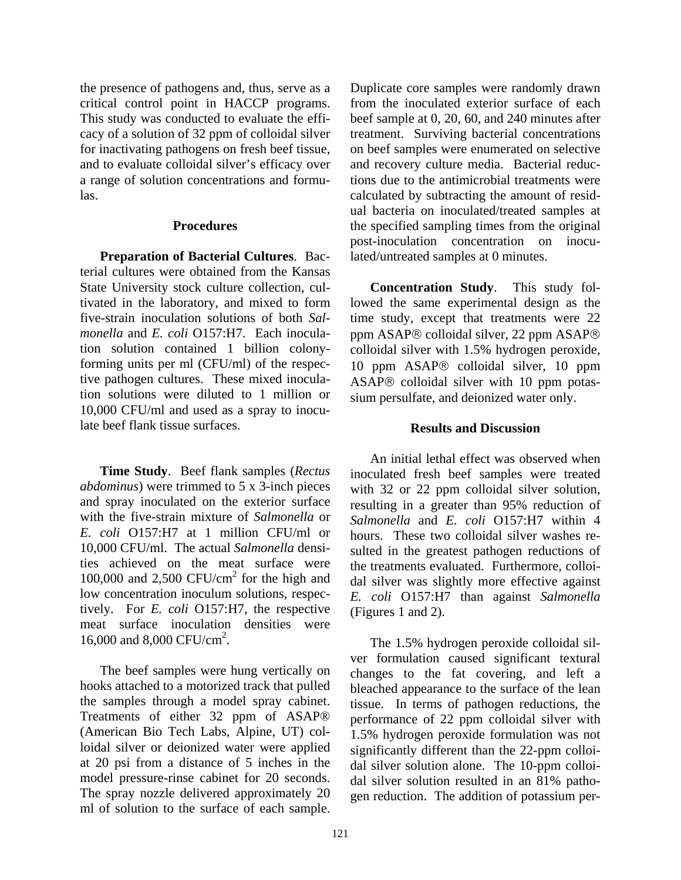the presence of pathogens and, thus, serve as a critical control point in HACCP programs. This study was conducted to evaluate the efficacy of a solution of 32 ppm of colloidal silver for inactivating pathogens on fresh beef tissue, and to evaluate colloidal silver's efficacy over a range of solution concentrations and formulas.

#### **Procedures**

**Preparation of Bacterial Cultures**. Bacterial cultures were obtained from the Kansas State University stock culture collection, cultivated in the laboratory, and mixed to form five-strain inoculation solutions of both *Salmonella* and *E. coli* O157:H7. Each inoculation solution contained 1 billion colonyforming units per ml (CFU/ml) of the respective pathogen cultures. These mixed inoculation solutions were diluted to 1 million or 10,000 CFU/ml and used as a spray to inoculate beef flank tissue surfaces.

**Time Study**. Beef flank samples (*Rectus abdominus*) were trimmed to 5 x 3-inch pieces and spray inoculated on the exterior surface with the five-strain mixture of *Salmonella* or *E. coli* O157:H7 at 1 million CFU/ml or 10,000 CFU/ml. The actual *Salmonella* densities achieved on the meat surface were 100,000 and 2,500  $CFU/cm<sup>2</sup>$  for the high and low concentration inoculum solutions, respectively. For *E. coli* O157:H7, the respective meat surface inoculation densities were 16,000 and 8,000 CFU/cm<sup>2</sup>.

The beef samples were hung vertically on hooks attached to a motorized track that pulled the samples through a model spray cabinet. Treatments of either 32 ppm of ASAP® (American Bio Tech Labs, Alpine, UT) colloidal silver or deionized water were applied at 20 psi from a distance of 5 inches in the model pressure-rinse cabinet for 20 seconds. The spray nozzle delivered approximately 20 ml of solution to the surface of each sample.

Duplicate core samples were randomly drawn from the inoculated exterior surface of each beef sample at 0, 20, 60, and 240 minutes after treatment. Surviving bacterial concentrations on beef samples were enumerated on selective and recovery culture media. Bacterial reductions due to the antimicrobial treatments were calculated by subtracting the amount of residual bacteria on inoculated/treated samples at the specified sampling times from the original post-inoculation concentration on inoculated/untreated samples at 0 minutes.

**Concentration Study**. This study followed the same experimental design as the time study, except that treatments were 22 ppm ASAP® colloidal silver, 22 ppm ASAP® colloidal silver with 1.5% hydrogen peroxide, 10 ppm ASAP® colloidal silver, 10 ppm ASAP® colloidal silver with 10 ppm potassium persulfate, and deionized water only.

#### **Results and Discussion**

An initial lethal effect was observed when inoculated fresh beef samples were treated with 32 or 22 ppm colloidal silver solution, resulting in a greater than 95% reduction of *Salmonella* and *E. coli* O157:H7 within 4 hours. These two colloidal silver washes resulted in the greatest pathogen reductions of the treatments evaluated. Furthermore, colloidal silver was slightly more effective against *E. coli* O157:H7 than against *Salmonella*  (Figures 1 and 2).

The 1.5% hydrogen peroxide colloidal silver formulation caused significant textural changes to the fat covering, and left a bleached appearance to the surface of the lean tissue. In terms of pathogen reductions, the performance of 22 ppm colloidal silver with 1.5% hydrogen peroxide formulation was not significantly different than the 22-ppm colloidal silver solution alone. The 10-ppm colloidal silver solution resulted in an 81% pathogen reduction. The addition of potassium per-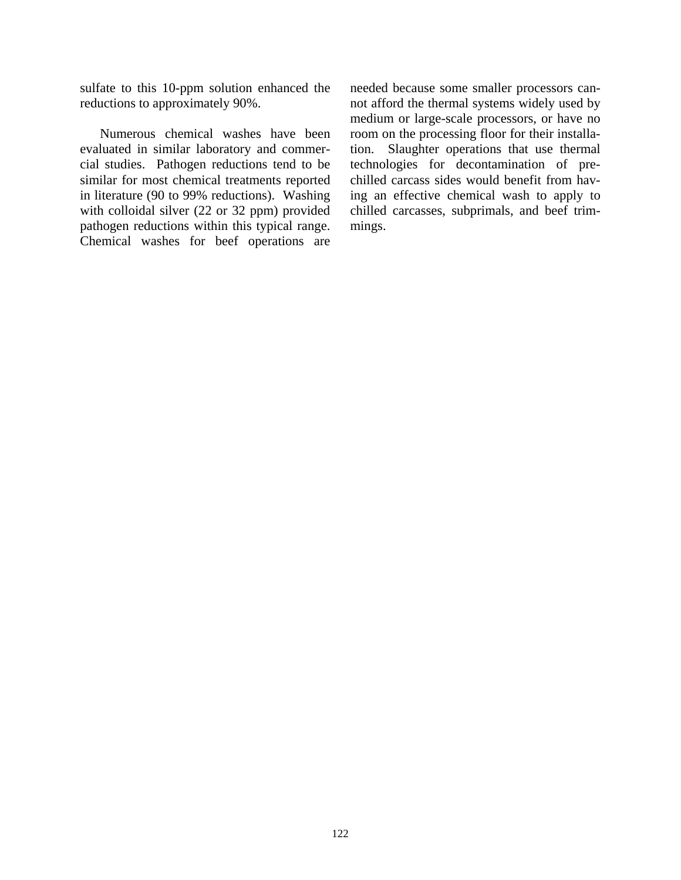sulfate to this 10-ppm solution enhanced the reductions to approximately 90%.

Numerous chemical washes have been evaluated in similar laboratory and commercial studies. Pathogen reductions tend to be similar for most chemical treatments reported in literature (90 to 99% reductions). Washing with colloidal silver (22 or 32 ppm) provided pathogen reductions within this typical range. Chemical washes for beef operations are

needed because some smaller processors cannot afford the thermal systems widely used by medium or large-scale processors, or have no room on the processing floor for their installation. Slaughter operations that use thermal technologies for decontamination of prechilled carcass sides would benefit from having an effective chemical wash to apply to chilled carcasses, subprimals, and beef trimmings.